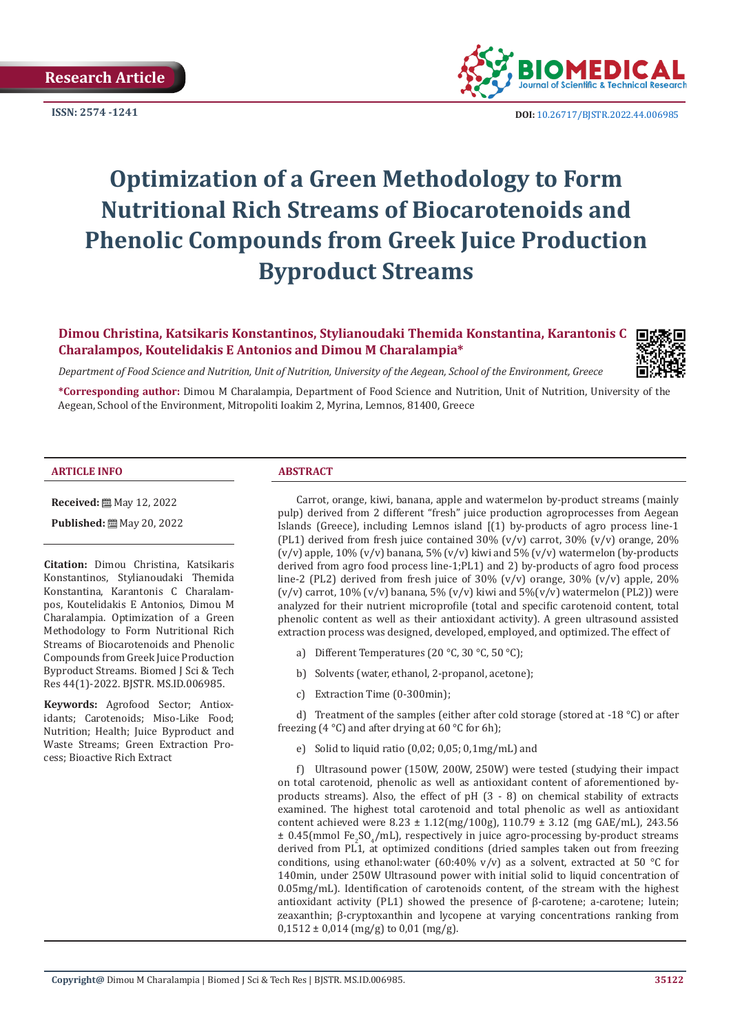

**ISSN:** 2574 -1241 **DOI:** [10.26717/BJSTR.2022.44.006985](https://dx.doi.org/10.26717/BJSTR.2022.44.006985)

# **Optimization of a Green Methodology to Form Nutritional Rich Streams of Biocarotenoids and Phenolic Compounds from Greek Juice Production Byproduct Streams**

# **Dimou Christina, Katsikaris Konstantinos, Stylianoudaki Themida Konstantina, Karantonis C Charalampos, Koutelidakis E Antonios and Dimou M Charalampia\***

*Department of Food Science and Nutrition, Unit of Nutrition, University of the Aegean, School of the Environment, Greece*

**\*Corresponding author:** Dimou M Charalampia, Department of Food Science and Nutrition, Unit of Nutrition, University of the Aegean, School of the Environment, Mitropoliti Ioakim 2, Myrina, Lemnos, 81400, Greece

#### **ARTICLE INFO ABSTRACT**

**Received:** ■ May 12, 2022

**Published:** 圖 May 20, 2022

**Citation:** Dimou Christina, Katsikaris Konstantinos, Stylianoudaki Themida Konstantina, Karantonis C Charalampos, Koutelidakis E Antonios, Dimou M Charalampia. Optimization of a Green Methodology to Form Nutritional Rich Streams of Biocarotenoids and Phenolic Compounds from Greek Juice Production Byproduct Streams. Biomed J Sci & Tech Res 44(1)-2022. BJSTR. MS.ID.006985.

**Keywords:** Agrofood Sector; Antioxidants; Carotenoids; Miso-Like Food; Nutrition; Health; Juice Byproduct and Waste Streams; Green Extraction Process; Bioactive Rich Extract

Carrot, orange, kiwi, banana, apple and watermelon by-product streams (mainly pulp) derived from 2 different "fresh" juice production agroprocesses from Aegean Islands (Greece), including Lemnos island [(1) by-products of agro process line-1 (PL1) derived from fresh juice contained  $30\%$  (v/v) carrot,  $30\%$  (v/v) orange,  $20\%$ (v/v) apple,  $10\%$  (v/v) banana, 5% (v/v) kiwi and 5% (v/v) watermelon (by-products derived from agro food process line-1;PL1) and 2) by-products of agro food process line-2 (PL2) derived from fresh juice of 30% (v/v) orange, 30% (v/v) apple, 20% (v/v) carrot,  $10\%$  (v/v) banana,  $5\%$  (v/v) kiwi and  $5\%$ (v/v) watermelon (PL2)) were analyzed for their nutrient microprofile (total and specific carotenoid content, total phenolic content as well as their antioxidant activity). A green ultrasound assisted extraction process was designed, developed, employed, and optimized. The effect of

- a) Different Temperatures (20 °C, 30 °C, 50 °C);
- b) Solvents (water, ethanol, 2-propanol, acetone);
- c) Extraction Time (0-300min);

d) Treatment of the samples (either after cold storage (stored at -18 °C) or after freezing  $(4 °C)$  and after drying at 60 °C for 6h);

e) Solid to liquid ratio (0,02; 0,05; 0,1mg/mL) and

f) Ultrasound power (150W, 200W, 250W) were tested (studying their impact on total carotenoid, phenolic as well as antioxidant content of aforementioned byproducts streams). Also, the effect of pH (3 - 8) on chemical stability of extracts examined. The highest total carotenoid and total phenolic as well as antioxidant content achieved were 8.23 ± 1.12(mg/100g), 110.79 ± 3.12 (mg GAE/mL), 243.56 ± 0.45(mmol Fe2 SO4 /mL), respectively in juice agro-processing by-product streams derived from PL1, at optimized conditions (dried samples taken out from freezing conditions, using ethanol:water (60:40% v/v) as a solvent, extracted at 50 °C for 140min, under 250W Ultrasound power with initial solid to liquid concentration of 0.05mg/mL). Identification of carotenoids content, of the stream with the highest antioxidant activity (PL1) showed the presence of β-carotene; a-carotene; lutein; zeaxanthin; β-cryptoxanthin and lycopene at varying concentrations ranking from  $0,1512 \pm 0,014$  (mg/g) to  $0,01$  (mg/g).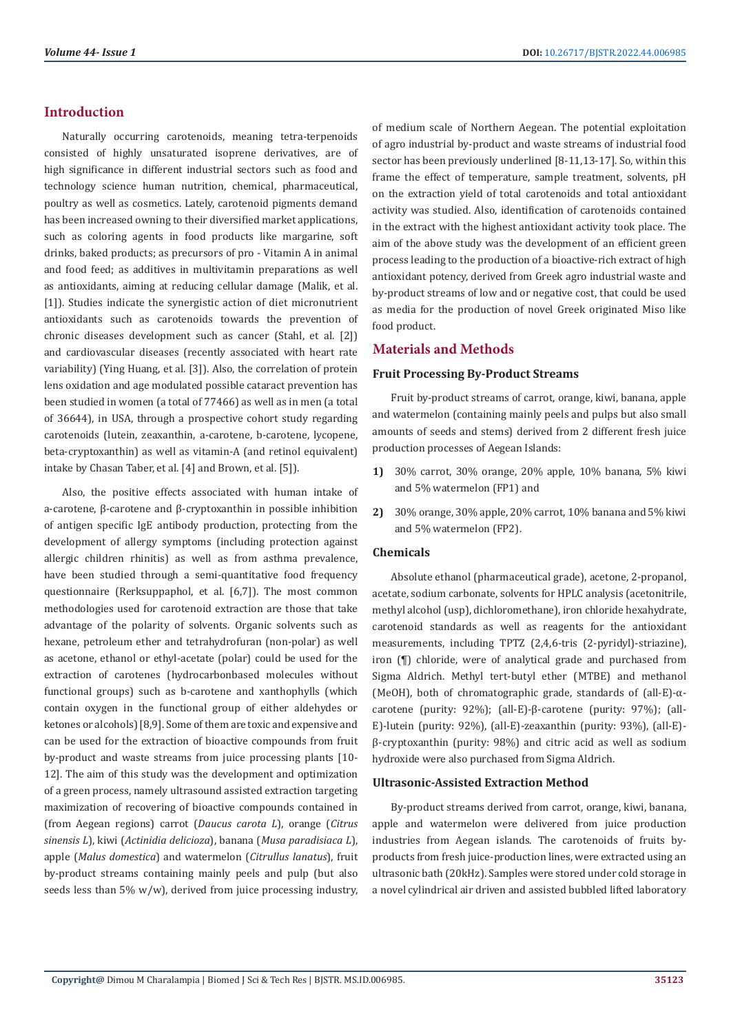# **Introduction**

Naturally occurring carotenoids, meaning tetra-terpenoids consisted of highly unsaturated isoprene derivatives, are of high significance in different industrial sectors such as food and technology science human nutrition, chemical, pharmaceutical, poultry as well as cosmetics. Lately, carotenoid pigments demand has been increased owning to their diversified market applications, such as coloring agents in food products like margarine, soft drinks, baked products; as precursors of pro - Vitamin A in animal and food feed; as additives in multivitamin preparations as well as antioxidants, aiming at reducing cellular damage (Malik, et al. [1]). Studies indicate the synergistic action of diet micronutrient antioxidants such as carotenoids towards the prevention of chronic diseases development such as cancer (Stahl, et al. [2]) and cardiovascular diseases (recently associated with heart rate variability) (Ying Huang, et al. [3]). Also, the correlation of protein lens oxidation and age modulated possible cataract prevention has been studied in women (a total of 77466) as well as in men (a total of 36644), in USA, through a prospective cohort study regarding carotenoids (lutein, zeaxanthin, a-carotene, b-carotene, lycopene, beta-cryptoxanthin) as well as vitamin-A (and retinol equivalent) intake by Chasan Taber, et al. [4] and Brown, et al. [5]).

Also, the positive effects associated with human intake of a-carotene, β-carotene and β-cryptoxanthin in possible inhibition of antigen specific IgE antibody production, protecting from the development of allergy symptoms (including protection against allergic children rhinitis) as well as from asthma prevalence, have been studied through a semi-quantitative food frequency questionnaire (Rerksuppaphol, et al. [6,7]). The most common methodologies used for carotenoid extraction are those that take advantage of the polarity of solvents. Organic solvents such as hexane, petroleum ether and tetrahydrofuran (non-polar) as well as acetone, ethanol or ethyl-acetate (polar) could be used for the extraction of carotenes (hydrocarbonbased molecules without functional groups) such as b-carotene and xanthophylls (which contain oxygen in the functional group of either aldehydes or ketones or alcohols) [8,9]. Some of them are toxic and expensive and can be used for the extraction of bioactive compounds from fruit by-product and waste streams from juice processing plants [10- 12]. The aim of this study was the development and optimization of a green process, namely ultrasound assisted extraction targeting maximization of recovering of bioactive compounds contained in (from Aegean regions) carrot (*Daucus carota L*), orange (*Citrus sinensis L*), kiwi (*Actinidia delicioza*), banana (*Musa paradisiaca L*), apple (*Malus domestica*) and watermelon (*Citrullus lanatus*), fruit by-product streams containing mainly peels and pulp (but also seeds less than 5% w/w), derived from juice processing industry,

of medium scale of Northern Aegean. The potential exploitation of agro industrial by-product and waste streams of industrial food sector has been previously underlined [8-11,13-17]. So, within this frame the effect of temperature, sample treatment, solvents, pH on the extraction yield of total carotenoids and total antioxidant activity was studied. Also, identification of carotenoids contained in the extract with the highest antioxidant activity took place. The aim of the above study was the development of an efficient green process leading to the production of a bioactive-rich extract of high antioxidant potency, derived from Greek agro industrial waste and by-product streams of low and or negative cost, that could be used as media for the production of novel Greek originated Miso like food product.

# **Materials and Methods**

#### **Fruit Processing By-Product Streams**

Fruit by-product streams of carrot, orange, kiwi, banana, apple and watermelon (containing mainly peels and pulps but also small amounts of seeds and stems) derived from 2 different fresh juice production processes of Aegean Islands:

- **1)** 30% carrot, 30% orange, 20% apple, 10% banana, 5% kiwi and 5% watermelon (FP1) and
- **2)** 30% orange, 30% apple, 20% carrot, 10% banana and 5% kiwi and 5% watermelon (FP2).

#### **Chemicals**

Absolute ethanol (pharmaceutical grade), acetone, 2-propanol, acetate, sodium carbonate, solvents for HPLC analysis (acetonitrile, methyl alcohol (usp), dichloromethane), iron chloride hexahydrate, carotenoid standards as well as reagents for the antioxidant measurements, including TPTZ (2,4,6-tris (2-pyridyl)-striazine), iron (¶) chloride, were of analytical grade and purchased from Sigma Aldrich. Methyl tert-butyl ether (MTBE) and methanol (MeOH), both of chromatographic grade, standards of (all-E)-αcarotene (purity: 92%); (all-E)-β-carotene (purity: 97%); (all-E)-lutein (purity: 92%), (all-E)-zeaxanthin (purity: 93%), (all-E) β-cryptoxanthin (purity: 98%) and citric acid as well as sodium hydroxide were also purchased from Sigma Aldrich.

#### **Ultrasonic-Assisted Extraction Method**

By-product streams derived from carrot, orange, kiwi, banana, apple and watermelon were delivered from juice production industries from Aegean islands. The carotenoids of fruits byproducts from fresh juice-production lines, were extracted using an ultrasonic bath (20kHz). Samples were stored under cold storage in a novel cylindrical air driven and assisted bubbled lifted laboratory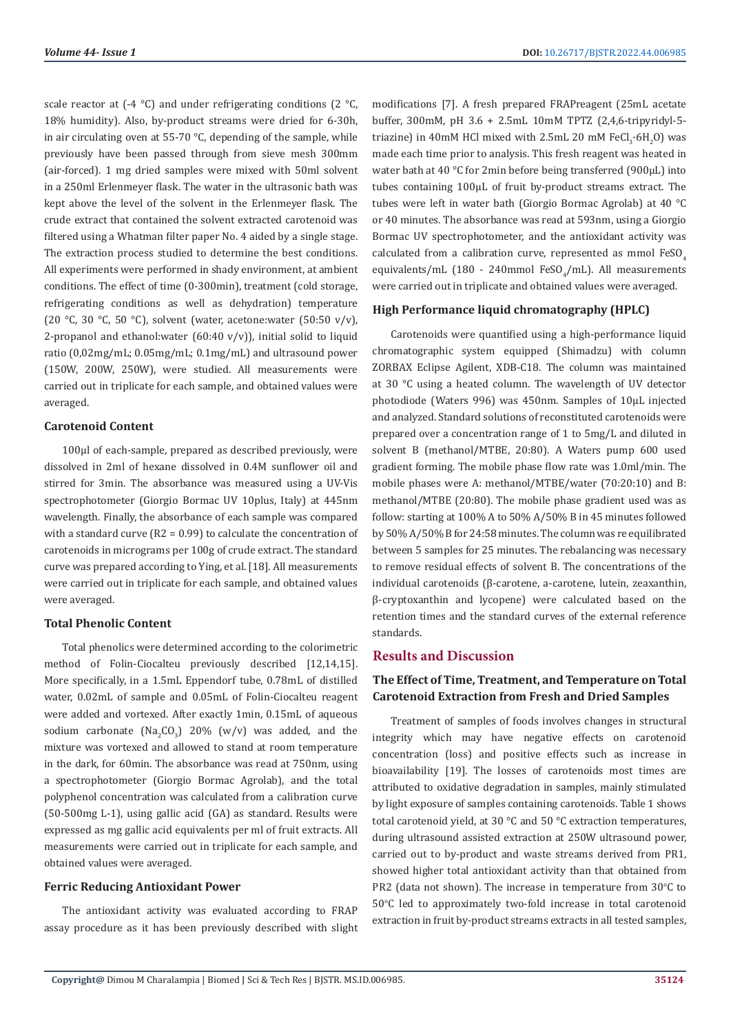scale reactor at  $(-4 \degree C)$  and under refrigerating conditions  $(2 \degree C,$ 18% humidity). Also, by-product streams were dried for 6-30h, in air circulating oven at 55-70 °C, depending of the sample, while previously have been passed through from sieve mesh 300mm (air-forced). 1 mg dried samples were mixed with 50ml solvent in a 250ml Erlenmeyer flask. The water in the ultrasonic bath was kept above the level of the solvent in the Erlenmeyer flask. The crude extract that contained the solvent extracted carotenoid was filtered using a Whatman filter paper No. 4 aided by a single stage. The extraction process studied to determine the best conditions. All experiments were performed in shady environment, at ambient conditions. The effect of time (0-300min), treatment (cold storage, refrigerating conditions as well as dehydration) temperature (20 °C, 30 °C, 50 °C), solvent (water, acetone:water (50:50 v/v), 2-propanol and ethanol:water  $(60:40 \text{ v/v})$ , initial solid to liquid ratio (0,02mg/mL; 0.05mg/mL; 0.1mg/mL) and ultrasound power (150W, 200W, 250W), were studied. All measurements were carried out in triplicate for each sample, and obtained values were averaged.

#### **Carotenoid Content**

100µl of each-sample, prepared as described previously, were dissolved in 2ml of hexane dissolved in 0.4M sunflower oil and stirred for 3min. The absorbance was measured using a UV-Vis spectrophotometer (Giorgio Bormac UV 10plus, Italy) at 445nm wavelength. Finally, the absorbance of each sample was compared with a standard curve (R2 = 0.99) to calculate the concentration of carotenoids in micrograms per 100g of crude extract. The standard curve was prepared according to Ying, et al. [18]. All measurements were carried out in triplicate for each sample, and obtained values were averaged.

#### **Total Phenolic Content**

Total phenolics were determined according to the colorimetric method of Folin-Ciocalteu previously described [12,14,15]. More specifically, in a 1.5mL Eppendorf tube, 0.78mL of distilled water, 0.02mL of sample and 0.05mL of Folin-Ciocalteu reagent were added and vortexed. After exactly 1min, 0.15mL of aqueous sodium carbonate  $(Na_2CO_3)$  20% (w/v) was added, and the mixture was vortexed and allowed to stand at room temperature in the dark, for 60min. The absorbance was read at 750nm, using a spectrophotometer (Giorgio Bormac Agrolab), and the total polyphenol concentration was calculated from a calibration curve (50-500mg L-1), using gallic acid (GA) as standard. Results were expressed as mg gallic acid equivalents per ml of fruit extracts. All measurements were carried out in triplicate for each sample, and obtained values were averaged.

#### **Ferric Reducing Antioxidant Power**

The antioxidant activity was evaluated according to FRAP assay procedure as it has been previously described with slight modifications [7]. A fresh prepared FRAPreagent (25mL acetate buffer, 300mM, pH 3.6 + 2.5mL 10mM TPTZ (2,4,6-tripyridyl-5 triazine) in 40mM HCl mixed with 2.5mL 20 mM  $FeCl_3·6H_2O$  ) was made each time prior to analysis. This fresh reagent was heated in water bath at 40 °C for 2min before being transferred (900μL) into tubes containing 100μL of fruit by-product streams extract. The tubes were left in water bath (Giorgio Bormac Agrolab) at 40 °C or 40 minutes. The absorbance was read at 593nm, using a Giorgio Bormac UV spectrophotometer, and the antioxidant activity was calculated from a calibration curve, represented as mmol  $FesO<sub>a</sub>$ equivalents/mL (180 - 240mmol FeSO $_4$ /mL). All measurements were carried out in triplicate and obtained values were averaged.

#### **High Performance liquid chromatography (HPLC)**

Carotenoids were quantified using a high-performance liquid chromatographic system equipped (Shimadzu) with column ZORBAX Eclipse Agilent, XDB-C18. The column was maintained at 30 °C using a heated column. The wavelength of UV detector photodiode (Waters 996) was 450nm. Samples of 10μL injected and analyzed. Standard solutions of reconstituted carotenoids were prepared over a concentration range of 1 to 5mg/L and diluted in solvent B (methanol/MTBE, 20:80). A Waters pump 600 used gradient forming. The mobile phase flow rate was 1.0ml/min. The mobile phases were A: methanol/MTBE/water (70:20:10) and B: methanol/MTBE (20:80). The mobile phase gradient used was as follow: starting at 100% A to 50% A/50% B in 45 minutes followed by 50% A/50% B for 24:58 minutes. The column was re equilibrated between 5 samples for 25 minutes. The rebalancing was necessary to remove residual effects of solvent B. The concentrations of the individual carotenoids (β-carotene, a-carotene, lutein, zeaxanthin, β-cryptoxanthin and lycopene) were calculated based on the retention times and the standard curves of the external reference standards.

#### **Results and Discussion**

# **The Effect of Time, Treatment, and Temperature on Total Carotenoid Extraction from Fresh and Dried Samples**

Treatment of samples of foods involves changes in structural integrity which may have negative effects on carotenoid concentration (loss) and positive effects such as increase in bioavailability [19]. The losses of carotenoids most times are attributed to oxidative degradation in samples, mainly stimulated by light exposure of samples containing carotenoids. Table 1 shows total carotenoid yield, at 30 °C and 50 °C extraction temperatures, during ultrasound assisted extraction at 250W ultrasound power, carried out to by-product and waste streams derived from PR1, showed higher total antioxidant activity than that obtained from PR2 (data not shown). The increase in temperature from  $30^{\circ}$ C to 50°C led to approximately two-fold increase in total carotenoid extraction in fruit by-product streams extracts in all tested samples,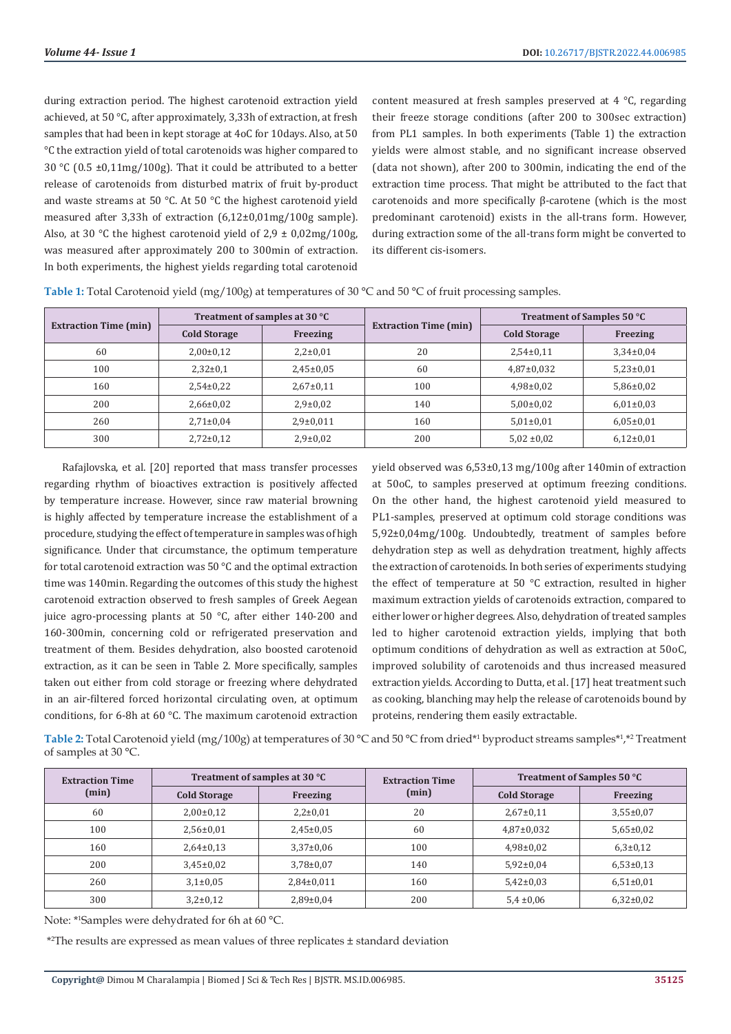during extraction period. The highest carotenoid extraction yield achieved, at 50 °C, after approximately, 3,33h of extraction, at fresh samples that had been in kept storage at 4oC for 10days. Also, at 50 °C the extraction yield of total carotenoids was higher compared to 30 °C (0.5 ±0,11mg/100g). That it could be attributed to a better release of carotenoids from disturbed matrix of fruit by-product and waste streams at 50 °C. At 50 °C the highest carotenoid yield measured after 3,33h of extraction (6,12±0,01mg/100g sample). Also, at 30 °C the highest carotenoid yield of  $2.9 \pm 0.02$  mg/100g, was measured after approximately 200 to 300min of extraction. In both experiments, the highest yields regarding total carotenoid

content measured at fresh samples preserved at 4 °C, regarding their freeze storage conditions (after 200 to 300sec extraction) from PL1 samples. In both experiments (Table 1) the extraction yields were almost stable, and no significant increase observed (data not shown), after 200 to 300min, indicating the end of the extraction time process. That might be attributed to the fact that carotenoids and more specifically β-carotene (which is the most predominant carotenoid) exists in the all-trans form. However, during extraction some of the all-trans form might be converted to its different cis-isomers.

| <b>Extraction Time (min)</b> | Treatment of samples at 30 °C |                |                              | Treatment of Samples 50 °C |                 |
|------------------------------|-------------------------------|----------------|------------------------------|----------------------------|-----------------|
|                              | <b>Cold Storage</b>           | Freezing       | <b>Extraction Time (min)</b> | <b>Cold Storage</b>        | Freezing        |
| 60                           | $2,00\pm0,12$                 | $2,2\pm0,01$   | 20                           | $2,54\pm0,11$              | $3,34\pm0,04$   |
| 100                          | $2,32\pm0.1$                  | $2,45\pm0.05$  | 60                           | $4,87 \pm 0,032$           | $5,23\pm0.01$   |
| 160                          | $2,54\pm0.22$                 | $2,67+0,11$    | 100                          | $4,98\pm0,02$              | $5,86\pm0.02$   |
| 200                          | $2,66 \pm 0.02$               | $2,9 \pm 0.02$ | 140                          | $5,00\pm0.02$              | $6,01\pm0,03$   |
| 260                          | $2,71\pm0.04$                 | $2,9\pm0,011$  | 160                          | $5.01 \pm 0.01$            | $6.05 \pm 0.01$ |
| 300                          | $2,72\pm0,12$                 | $2,9 \pm 0.02$ | 200                          | $5,02 \pm 0,02$            | $6,12\pm0,01$   |

**Table 1:** Total Carotenoid yield (mg/100g) at temperatures of 30 °C and 50 °C of fruit processing samples.

Rafajlovska, et al. [20] reported that mass transfer processes regarding rhythm of bioactives extraction is positively affected by temperature increase. However, since raw material browning is highly affected by temperature increase the establishment of a procedure, studying the effect of temperature in samples was of high significance. Under that circumstance, the optimum temperature for total carotenoid extraction was 50 °C and the optimal extraction time was 140min. Regarding the outcomes of this study the highest carotenoid extraction observed to fresh samples of Greek Aegean juice agro-processing plants at 50 °C, after either 140-200 and 160-300min, concerning cold or refrigerated preservation and treatment of them. Besides dehydration, also boosted carotenoid extraction, as it can be seen in Table 2. More specifically, samples taken out either from cold storage or freezing where dehydrated in an air-filtered forced horizontal circulating oven, at optimum conditions, for 6-8h at 60 °C. The maximum carotenoid extraction

yield observed was 6,53±0,13 mg/100g after 140min of extraction at 50oC, to samples preserved at optimum freezing conditions. On the other hand, the highest carotenoid yield measured to PL1-samples, preserved at optimum cold storage conditions was 5,92±0,04mg/100g. Undoubtedly, treatment of samples before dehydration step as well as dehydration treatment, highly affects the extraction of carotenoids. In both series of experiments studying the effect of temperature at 50 °C extraction, resulted in higher maximum extraction yields of carotenoids extraction, compared to either lower or higher degrees. Also, dehydration of treated samples led to higher carotenoid extraction yields, implying that both optimum conditions of dehydration as well as extraction at 50oC, improved solubility of carotenoids and thus increased measured extraction yields. According to Dutta, et al. [17] heat treatment such as cooking, blanching may help the release of carotenoids bound by proteins, rendering them easily extractable.

Table 2: Total Carotenoid yield (mg/100g) at temperatures of 30 °C and 50 °C from dried\*<sup>1</sup> byproduct streams samples\*<sup>1</sup>,\*<sup>2</sup> Treatment of samples at 30 °C.

| <b>Extraction Time</b><br>(min) | Treatment of samples at 30 °C |                 | <b>Extraction Time</b> | Treatment of Samples 50 °C |               |
|---------------------------------|-------------------------------|-----------------|------------------------|----------------------------|---------------|
|                                 | <b>Cold Storage</b>           | Freezing        | (min)                  | <b>Cold Storage</b>        | Freezing      |
| 60                              | $2,00\pm0,12$                 | $2,2\pm0,01$    | 20                     | $2,67+0,11$                | $3,55\pm0.07$ |
| 100                             | $2,56\pm0.01$                 | $2,45\pm0.05$   | 60                     | $4,87 \pm 0,032$           | $5,65\pm0.02$ |
| 160                             | $2,64\pm0,13$                 | $3,37\pm0,06$   | 100                    | $4,98\pm0,02$              | $6,3\pm0,12$  |
| 200                             | $3,45\pm0.02$                 | $3.78 \pm 0.07$ | 140                    | $5,92\pm0,04$              | $6,53\pm0,13$ |
| 260                             | $3,1\pm0.05$                  | 2,84±0,011      | 160                    | $5,42\pm0.03$              | $6,51\pm0.01$ |
| 300                             | $3,2\pm0,12$                  | $2,89\pm0.04$   | 200                    | $5.4 \pm 0.06$             | $6,32\pm0.02$ |

Note: \*<sup>1</sup>Samples were dehydrated for 6h at 60 °C.

\*2 The results are expressed as mean values of three replicates ± standard deviation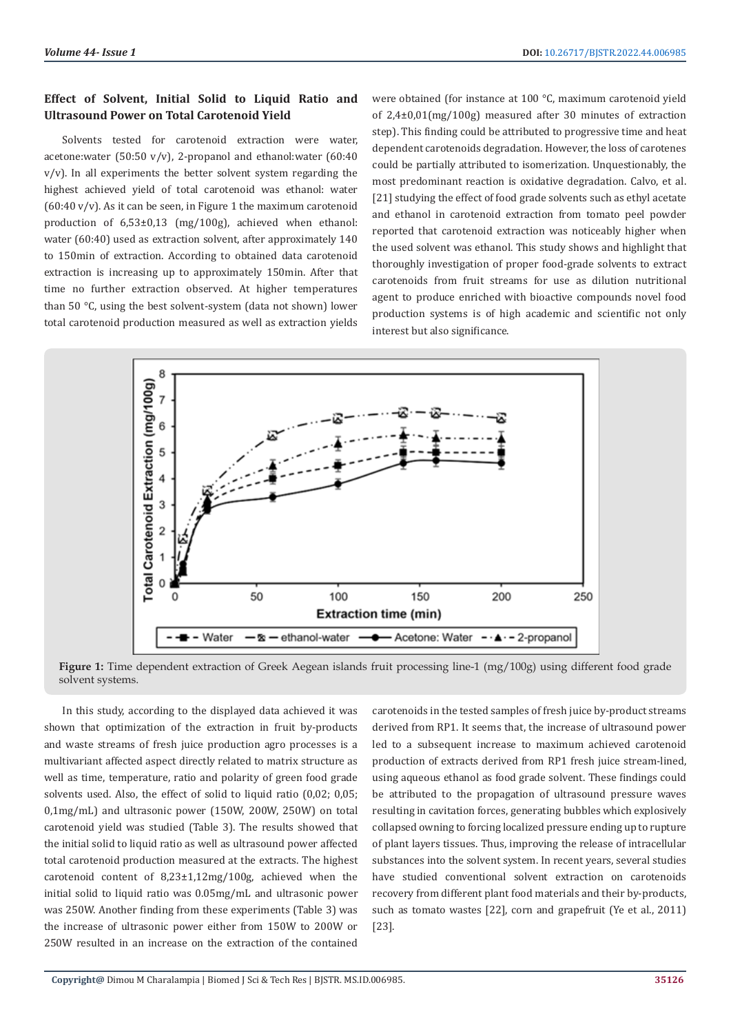#### **Effect of Solvent, Initial Solid to Liquid Ratio and Ultrasound Power on Total Carotenoid Yield**

Solvents tested for carotenoid extraction were water, acetone:water (50:50 v/v), 2-propanol and ethanol:water (60:40  $v/v$ ). In all experiments the better solvent system regarding the highest achieved yield of total carotenoid was ethanol: water  $(60:40 \text{ v/v})$ . As it can be seen, in Figure 1 the maximum carotenoid production of 6,53±0,13 (mg/100g), achieved when ethanol: water (60:40) used as extraction solvent, after approximately 140 to 150min of extraction. According to obtained data carotenoid extraction is increasing up to approximately 150min. After that time no further extraction observed. At higher temperatures than 50 °C, using the best solvent-system (data not shown) lower total carotenoid production measured as well as extraction yields

were obtained (for instance at 100 °C, maximum carotenoid yield of 2,4±0,01(mg/100g) measured after 30 minutes of extraction step). This finding could be attributed to progressive time and heat dependent carotenoids degradation. However, the loss of carotenes could be partially attributed to isomerization. Unquestionably, the most predominant reaction is oxidative degradation. Calvo, et al. [21] studying the effect of food grade solvents such as ethyl acetate and ethanol in carotenoid extraction from tomato peel powder reported that carotenoid extraction was noticeably higher when the used solvent was ethanol. This study shows and highlight that thoroughly investigation of proper food-grade solvents to extract carotenoids from fruit streams for use as dilution nutritional agent to produce enriched with bioactive compounds novel food production systems is of high academic and scientific not only interest but also significance.



**Figure 1:** Time dependent extraction of Greek Aegean islands fruit processing line-1 (mg/100g) using different food grade solvent systems.

In this study, according to the displayed data achieved it was shown that optimization of the extraction in fruit by-products and waste streams of fresh juice production agro processes is a multivariant affected aspect directly related to matrix structure as well as time, temperature, ratio and polarity of green food grade solvents used. Also, the effect of solid to liquid ratio (0,02: 0,05; 0,1mg/mL) and ultrasonic power (150W, 200W, 250W) on total carotenoid yield was studied (Table 3). The results showed that the initial solid to liquid ratio as well as ultrasound power affected total carotenoid production measured at the extracts. The highest carotenoid content of 8,23±1,12mg/100g, achieved when the initial solid to liquid ratio was 0.05mg/mL and ultrasonic power was 250W. Another finding from these experiments (Table 3) was the increase of ultrasonic power either from 150W to 200W or 250W resulted in an increase on the extraction of the contained

carotenoids in the tested samples of fresh juice by-product streams derived from RP1. It seems that, the increase of ultrasound power led to a subsequent increase to maximum achieved carotenoid production of extracts derived from RP1 fresh juice stream-lined, using aqueous ethanol as food grade solvent. These findings could be attributed to the propagation of ultrasound pressure waves resulting in cavitation forces, generating bubbles which explosively collapsed owning to forcing localized pressure ending up to rupture of plant layers tissues. Thus, improving the release of intracellular substances into the solvent system. In recent years, several studies have studied conventional solvent extraction on carotenoids recovery from different plant food materials and their by-products, such as tomato wastes [22], corn and grapefruit (Ye et al., 2011) [23].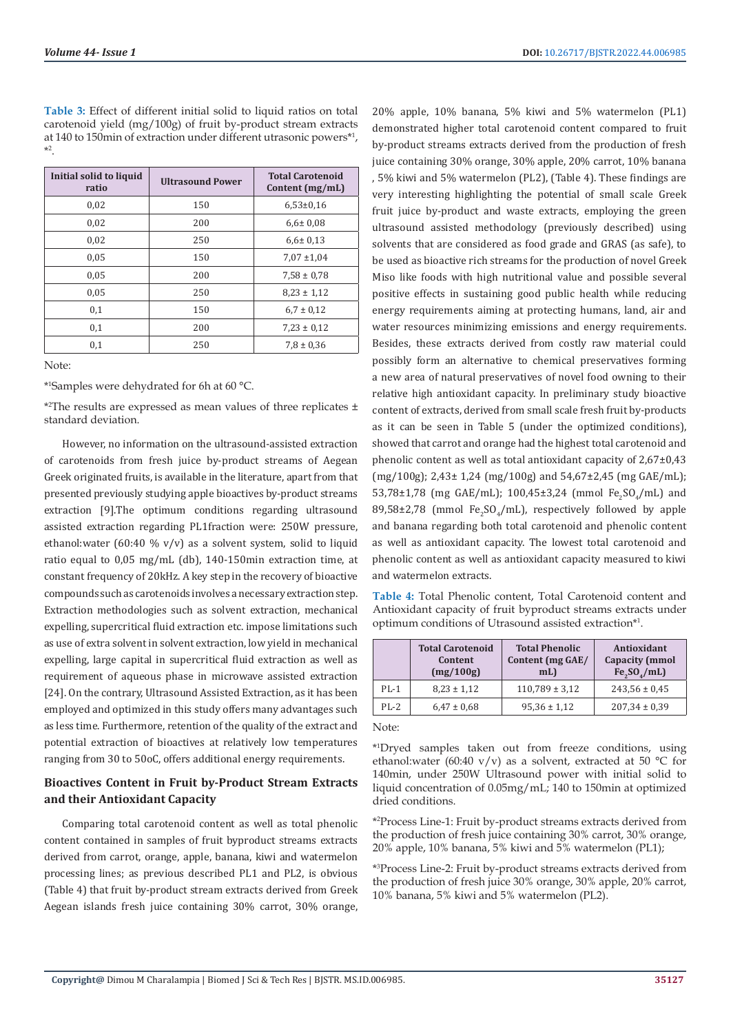**Table 3:** Effect of different initial solid to liquid ratios on total carotenoid yield (mg/100g) of fruit by-product stream extracts at 140 to 150min of extraction under different utrasonic powers\*1 , \*2 .

| Initial solid to liquid<br>ratio | <b>Ultrasound Power</b> | <b>Total Carotenoid</b><br>Content (mg/mL) |
|----------------------------------|-------------------------|--------------------------------------------|
| 0,02                             | 150                     | $6.53 \pm 0.16$                            |
| 0,02                             | 200                     | $6.6 \pm 0.08$                             |
| 0,02                             | 250                     | $6.6 \pm 0.13$                             |
| 0.05                             | 150                     | $7,07 \pm 1,04$                            |
| 0,05                             | 200                     | $7,58 \pm 0.78$                            |
| 0,05                             | 250                     | $8,23 \pm 1,12$                            |
| 0,1                              | 150                     | $6.7 \pm 0.12$                             |
| 0,1                              | 200                     | $7,23 \pm 0,12$                            |
| 0,1                              | 250                     | $7.8 \pm 0.36$                             |

Note:

\*1 Samples were dehydrated for 6h at 60 °C.

\*2 The results are expressed as mean values of three replicates ± standard deviation.

However, no information on the ultrasound-assisted extraction of carotenoids from fresh juice by-product streams of Aegean Greek originated fruits, is available in the literature, apart from that presented previously studying apple bioactives by-product streams extraction [9].The optimum conditions regarding ultrasound assisted extraction regarding PL1fraction were: 250W pressure, ethanol:water (60:40  $\%$  v/v) as a solvent system, solid to liquid ratio equal to 0,05 mg/mL (db), 140-150min extraction time, at constant frequency of 20kHz. A key step in the recovery of bioactive compounds such as carotenoids involves a necessary extraction step. Extraction methodologies such as solvent extraction, mechanical expelling, supercritical fluid extraction etc. impose limitations such as use of extra solvent in solvent extraction, low yield in mechanical expelling, large capital in supercritical fluid extraction as well as requirement of aqueous phase in microwave assisted extraction [24]. On the contrary, Ultrasound Assisted Extraction, as it has been employed and optimized in this study offers many advantages such as less time. Furthermore, retention of the quality of the extract and potential extraction of bioactives at relatively low temperatures ranging from 30 to 50oC, offers additional energy requirements.

# **Bioactives Content in Fruit by-Product Stream Extracts and their Antioxidant Capacity**

Comparing total carotenoid content as well as total phenolic content contained in samples of fruit byproduct streams extracts derived from carrot, orange, apple, banana, kiwi and watermelon processing lines; as previous described PL1 and PL2, is obvious (Table 4) that fruit by-product stream extracts derived from Greek Aegean islands fresh juice containing 30% carrot, 30% orange,

20% apple, 10% banana, 5% kiwi and 5% watermelon (PL1) demonstrated higher total carotenoid content compared to fruit by-product streams extracts derived from the production of fresh juice containing 30% orange, 30% apple, 20% carrot, 10% banana , 5% kiwi and 5% watermelon (PL2), (Table 4). These findings are very interesting highlighting the potential of small scale Greek fruit juice by-product and waste extracts, employing the green ultrasound assisted methodology (previously described) using solvents that are considered as food grade and GRAS (as safe), to be used as bioactive rich streams for the production of novel Greek Miso like foods with high nutritional value and possible several positive effects in sustaining good public health while reducing energy requirements aiming at protecting humans, land, air and water resources minimizing emissions and energy requirements. Besides, these extracts derived from costly raw material could possibly form an alternative to chemical preservatives forming a new area of natural preservatives of novel food owning to their relative high antioxidant capacity. In preliminary study bioactive content of extracts, derived from small scale fresh fruit by-products as it can be seen in Table 5 (under the optimized conditions), showed that carrot and orange had the highest total carotenoid and phenolic content as well as total antioxidant capacity of 2,67±0,43 (mg/100g); 2,43± 1,24 (mg/100g) and 54,67±2,45 (mg GAE/mL); 53,78±1,78 (mg GAE/mL); 100,45±3,24 (mmol  $Fe_2SO_4/mL$ ) and  $89,58\pm2,78$  (mmol Fe $_2$ SO $_4$ /mL), respectively followed by apple and banana regarding both total carotenoid and phenolic content as well as antioxidant capacity. The lowest total carotenoid and phenolic content as well as antioxidant capacity measured to kiwi and watermelon extracts.

**Table 4:** Total Phenolic content, Total Carotenoid content and Antioxidant capacity of fruit byproduct streams extracts under optimum conditions of Utrasound assisted extraction\*1 .

|        | <b>Total Carotenoid</b><br>Content<br>(mg/100g) | <b>Total Phenolic</b><br>Content (mg GAE/<br>mL | Antioxidant<br><b>Capacity</b> (mmol<br>Fe <sub>2</sub> SO <sub>4</sub> /mL |
|--------|-------------------------------------------------|-------------------------------------------------|-----------------------------------------------------------------------------|
| $PL-1$ | $8,23 \pm 1,12$                                 | $110,789 \pm 3,12$                              | $243,56 \pm 0.45$                                                           |
| $PL-2$ | $6.47 \pm 0.68$                                 | $95,36 \pm 1,12$                                | $207,34 \pm 0,39$                                                           |

Note:

\*1 Dryed samples taken out from freeze conditions, using ethanol:water (60:40 v/v) as a solvent, extracted at 50 °C for 140min, under 250W Ultrasound power with initial solid to liquid concentration of 0.05mg/mL; 140 to 150min at optimized dried conditions.

\*2 Process Line-1: Fruit by-product streams extracts derived from the production of fresh juice containing 30% carrot, 30% orange, 20% apple, 10% banana, 5% kiwi and 5% watermelon (PL1);

\*3 Process Line-2: Fruit by-product streams extracts derived from the production of fresh juice 30% orange, 30% apple, 20% carrot, 10% banana, 5% kiwi and 5% watermelon (PL2).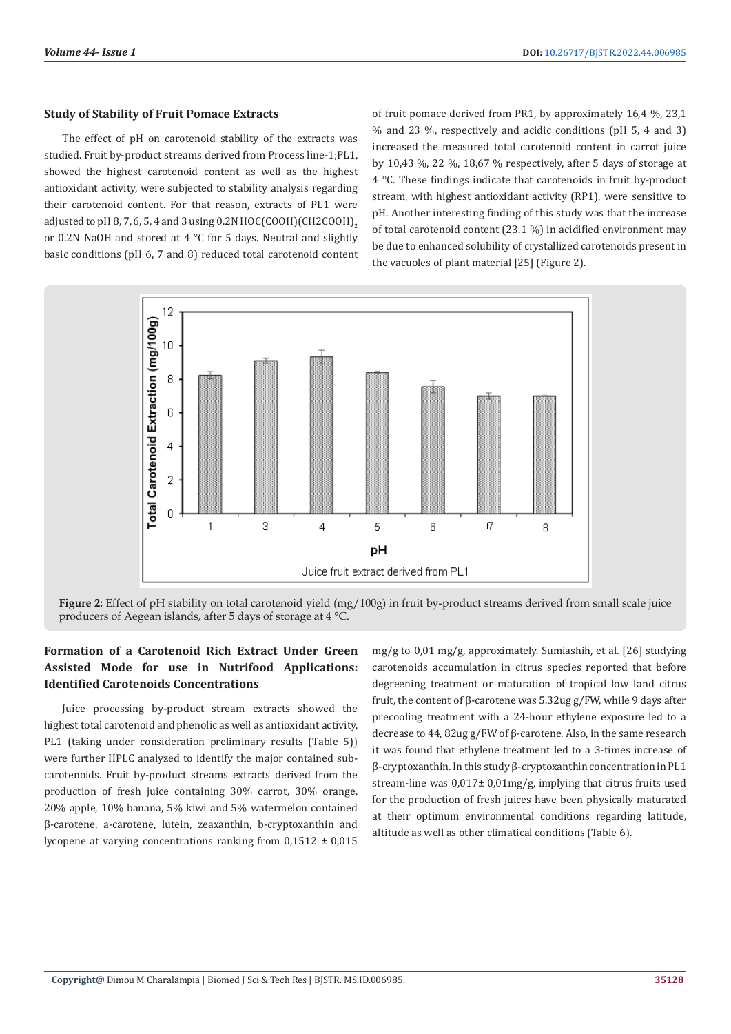#### **Study of Stability of Fruit Pomace Extracts**

The effect of pH on carotenoid stability of the extracts was studied. Fruit by-product streams derived from Process line-1;PL1, showed the highest carotenoid content as well as the highest antioxidant activity, were subjected to stability analysis regarding their carotenoid content. For that reason, extracts of PL1 were adjusted to pH 8, 7, 6, 5, 4 and 3 using 0.2N HOC(COOH)(CH2COOH), or 0.2N NaOH and stored at 4 °C for 5 days. Neutral and slightly basic conditions (pH 6, 7 and 8) reduced total carotenoid content of fruit pomace derived from PR1, by approximately 16,4 %, 23,1 % and 23 %, respectively and acidic conditions (pH 5, 4 and 3) increased the measured total carotenoid content in carrot juice by 10,43 %, 22 %, 18,67 % respectively, after 5 days of storage at 4 °C. These findings indicate that carotenoids in fruit by-product stream, with highest antioxidant activity (RP1), were sensitive to pH. Another interesting finding of this study was that the increase of total carotenoid content (23.1 %) in acidified environment may be due to enhanced solubility of crystallized carotenoids present in the vacuoles of plant material [25] (Figure 2).



**Figure 2:** Effect of pH stability on total carotenoid yield (mg/100g) in fruit by-product streams derived from small scale juice producers of Aegean islands, after 5 days of storage at 4 °C.

# **Formation of a Carotenoid Rich Extract Under Green Assisted Mode for use in Nutrifood Applications: Identified Carotenoids Concentrations**

Juice processing by-product stream extracts showed the highest total carotenoid and phenolic as well as antioxidant activity, PL1 (taking under consideration preliminary results (Table 5)) were further HPLC analyzed to identify the major contained subcarotenoids. Fruit by-product streams extracts derived from the production of fresh juice containing 30% carrot, 30% orange, 20% apple, 10% banana, 5% kiwi and 5% watermelon contained β-carotene, a-carotene, lutein, zeaxanthin, b-cryptoxanthin and lycopene at varying concentrations ranking from  $0.1512 \pm 0.015$ 

mg/g to 0,01 mg/g, approximately. Sumiashih, et al. [26] studying carotenoids accumulation in citrus species reported that before degreening treatment or maturation of tropical low land citrus fruit, the content of β-carotene was 5.32ug g/FW, while 9 days after precooling treatment with a 24-hour ethylene exposure led to a decrease to 44, 82ug g/FW of β-carotene. Also, in the same research it was found that ethylene treatment led to a 3-times increase of β-cryptoxanthin. In this study β-cryptoxanthin concentration in PL1 stream-line was 0,017± 0,01mg/g, implying that citrus fruits used for the production of fresh juices have been physically maturated at their optimum environmental conditions regarding latitude, altitude as well as other climatical conditions (Table 6).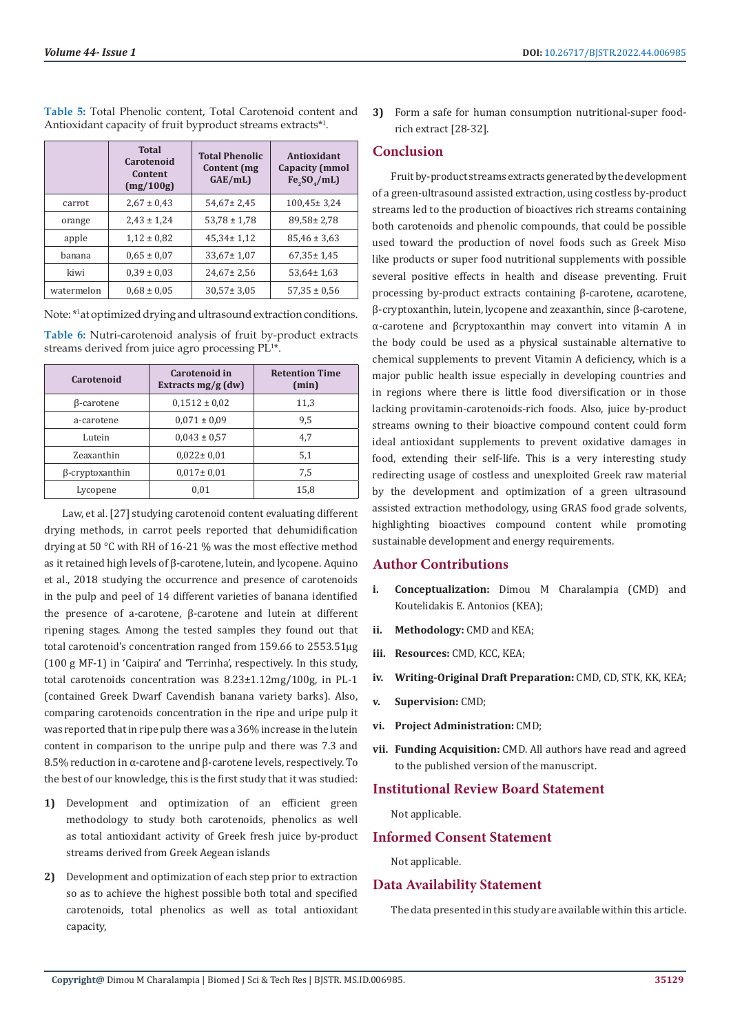|            | <b>Total</b><br>Carotenoid<br>Content<br>(mg/100g) | <b>Total Phenolic</b><br>Content (mg<br>GAE/mL) | Antioxidant<br><b>Capacity (mmol</b><br>Fe <sub>2</sub> SO <sub>4</sub> /mL |
|------------|----------------------------------------------------|-------------------------------------------------|-----------------------------------------------------------------------------|
| carrot     | $2,67 \pm 0,43$                                    | $54,67 \pm 2,45$                                | $100,45 \pm 3,24$                                                           |
| orange     | $2,43 \pm 1,24$                                    | $53,78 \pm 1,78$                                | $89,58 \pm 2,78$                                                            |
| apple      | $1,12 \pm 0.82$                                    | $45,34 \pm 1,12$                                | $85,46 \pm 3,63$                                                            |
| hanana     | $0.65 \pm 0.07$                                    | $33,67 \pm 1,07$                                | $67,35 \pm 1,45$                                                            |
| kiwi       | $0.39 \pm 0.03$                                    | $24,67 \pm 2,56$                                | $53,64 \pm 1,63$                                                            |
| watermelon | $0.68 \pm 0.05$                                    | $30,57 \pm 3,05$                                | $57,35 \pm 0.56$                                                            |

**Table 5:** Total Phenolic content, Total Carotenoid content and Antioxidant capacity of fruit byproduct streams extracts\*1 .

Note: \*1 at optimized drying and ultrasound extraction conditions.

**Table 6:** Nutri-carotenoid analysis of fruit by-product extracts streams derived from juice agro processing PL<sup>1\*</sup>.

| Carotenoid             | Carotenoid in<br>Extracts $mg/g$ (dw) | <b>Retention Time</b><br>(min) |
|------------------------|---------------------------------------|--------------------------------|
| β-carotene             | $0.1512 \pm 0.02$                     | 11,3                           |
| a-carotene             | $0.071 \pm 0.09$                      | 9,5                            |
| Lutein                 | $0,043 \pm 0.57$                      | 4,7                            |
| Zeaxanthin             | $0.022 \pm 0.01$                      | 5,1                            |
| $\beta$ -cryptoxanthin | $0.017 \pm 0.01$                      | 7.5                            |
| Lycopene               | 0,01                                  | 15,8                           |

Law, et al. [27] studying carotenoid content evaluating different drying methods, in carrot peels reported that dehumidification drying at 50 °C with RH of 16-21 % was the most effective method as it retained high levels of β-carotene, lutein, and lycopene. Aquino et al., 2018 studying the occurrence and presence of carotenoids in the pulp and peel of 14 different varieties of banana identified the presence of a-carotene, β-carotene and lutein at different ripening stages. Among the tested samples they found out that total carotenoid's concentration ranged from 159.66 to 2553.51μg (100 g MF-1) in 'Caipira' and 'Terrinha', respectively. In this study, total carotenoids concentration was 8.23±1.12mg/100g, in PL-1 (contained Greek Dwarf Cavendish banana variety barks). Also, comparing carotenoids concentration in the ripe and uripe pulp it was reported that in ripe pulp there was a 36% increase in the lutein content in comparison to the unripe pulp and there was 7.3 and 8.5% reduction in α-carotene and β-carotene levels, respectively. To the best of our knowledge, this is the first study that it was studied:

- **1)** Development and optimization of an efficient green methodology to study both carotenoids, phenolics as well as total antioxidant activity of Greek fresh juice by-product streams derived from Greek Aegean islands
- **2)** Development and optimization of each step prior to extraction so as to achieve the highest possible both total and specified carotenoids, total phenolics as well as total antioxidant capacity,

**3)** Form a safe for human consumption nutritional-super foodrich extract [28-32].

# **Conclusion**

Fruit by-product streams extracts generated by the development of a green-ultrasound assisted extraction, using costless by-product streams led to the production of bioactives rich streams containing both carotenoids and phenolic compounds, that could be possible used toward the production of novel foods such as Greek Miso like products or super food nutritional supplements with possible several positive effects in health and disease preventing. Fruit processing by-product extracts containing β-carotene, αcarotene, β-cryptoxanthin, lutein, lycopene and zeaxanthin, since β-carotene, α-carotene and βcryptoxanthin may convert into vitamin A in the body could be used as a physical sustainable alternative to chemical supplements to prevent Vitamin A deficiency, which is a major public health issue especially in developing countries and in regions where there is little food diversification or in those lacking provitamin-carotenoids-rich foods. Also, juice by-product streams owning to their bioactive compound content could form ideal antioxidant supplements to prevent oxidative damages in food, extending their self-life. This is a very interesting study redirecting usage of costless and unexploited Greek raw material by the development and optimization of a green ultrasound assisted extraction methodology, using GRAS food grade solvents, highlighting bioactives compound content while promoting sustainable development and energy requirements.

## **Author Contributions**

- **i. Conceptualization:** Dimou M Charalampia (CMD) and Koutelidakis E. Antonios (KEA);
- **ii. Methodology:** CMD and KEA;
- **iii. Resources:** CMD, KCC, KEA;
- **iv. Writing-Original Draft Preparation:** CMD, CD, STK, KK, KEA;
- **v. Supervision:** CMD;
- **vi. Project Administration:** CMD;
- **vii. Funding Acquisition:** CMD. All authors have read and agreed to the published version of the manuscript.

## **Institutional Review Board Statement**

Not applicable.

## **Informed Consent Statement**

Not applicable.

# **Data Availability Statement**

The data presented in this study are available within this article.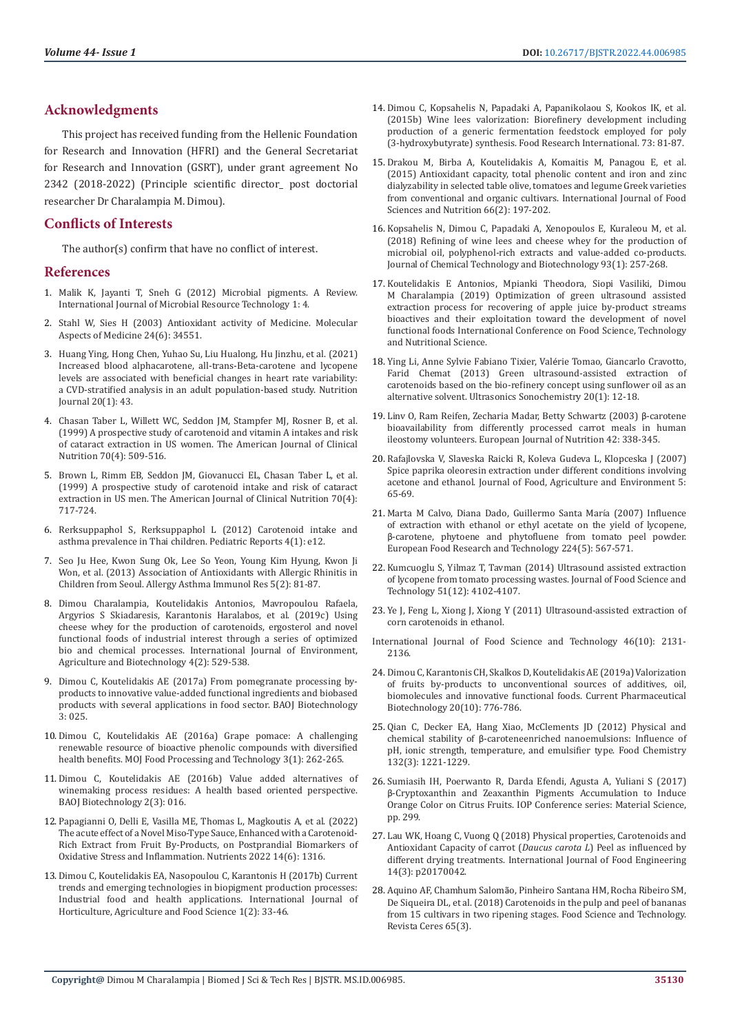# **Acknowledgments**

This project has received funding from the Hellenic Foundation for Research and Innovation (HFRI) and the General Secretariat for Research and Innovation (GSRT), under grant agreement No 2342 (2018-2022) (Principle scientific director\_ post doctorial researcher Dr Charalampia M. Dimou).

# **Conflicts of Interests**

The author(s) confirm that have no conflict of interest.

#### **References**

- 1. [Malik K, Jayanti T, Sneh G \(2012\) Microbial pigments. A Review.](http://ijmrt.inpressco.com/microbial-pigments-a-review/)  [International Journal of Microbial Resource Technology 1: 4.](http://ijmrt.inpressco.com/microbial-pigments-a-review/)
- 2. [Stahl W, Sies H \(2003\) Antioxidant activity of Medicine. Molecular](https://pubmed.ncbi.nlm.nih.gov/14585305/)  [Aspects of Medicine 24\(6\): 34551.](https://pubmed.ncbi.nlm.nih.gov/14585305/)
- 3. [Huang Ying, Hong Chen, Yuhao Su, Liu Hualong, Hu Jinzhu, et al. \(2021\)](https://pubmed.ncbi.nlm.nih.gov/33971890/)  [Increased blood alphacarotene, all-trans-Beta-carotene and lycopene](https://pubmed.ncbi.nlm.nih.gov/33971890/)  [levels are associated with beneficial changes in heart rate variability:](https://pubmed.ncbi.nlm.nih.gov/33971890/)  [a CVD-stratified analysis in an adult population-based study. Nutrition](https://pubmed.ncbi.nlm.nih.gov/33971890/)  [Journal 20\(1\): 43.](https://pubmed.ncbi.nlm.nih.gov/33971890/)
- 4. [Chasan Taber L, Willett WC, Seddon JM, Stampfer MJ, Rosner B, et al.](https://pubmed.ncbi.nlm.nih.gov/10500020/)  [\(1999\) A prospective study of carotenoid and vitamin A intakes and risk](https://pubmed.ncbi.nlm.nih.gov/10500020/)  [of cataract extraction in US women. The American Journal of Clinical](https://pubmed.ncbi.nlm.nih.gov/10500020/)  [Nutrition 70\(4\): 509-516.](https://pubmed.ncbi.nlm.nih.gov/10500020/)
- 5. [Brown L, Rimm EB, Seddon JM, Giovanucci EL, Chasan Taber L, et al.](https://pubmed.ncbi.nlm.nih.gov/10500021/)  [\(1999\) A prospective study of carotenoid intake and risk of cataract](https://pubmed.ncbi.nlm.nih.gov/10500021/)  [extraction in US men. The American Journal of Clinical Nutrition 70\(4\):](https://pubmed.ncbi.nlm.nih.gov/10500021/)  [717-724.](https://pubmed.ncbi.nlm.nih.gov/10500021/)
- 6. [Rerksuppaphol S, Rerksuppaphol L \(2012\) Carotenoid intake and](https://www.ncbi.nlm.nih.gov/pmc/articles/PMC3357611/)  [asthma prevalence in Thai children. Pediatric Reports 4\(1\): e12.](https://www.ncbi.nlm.nih.gov/pmc/articles/PMC3357611/)
- 7. [Seo Ju Hee, Kwon Sung Ok, Lee So Yeon, Young Kim Hyung, Kwon Ji](https://e-aair.org/DOIx.php?id=10.4168/aair.2013.5.2.81)  [Won, et al. \(2013\) Association of Antioxidants with Allergic Rhinitis in](https://e-aair.org/DOIx.php?id=10.4168/aair.2013.5.2.81)  [Children from Seoul. Allergy Asthma Immunol Res 5\(2\): 81-87.](https://e-aair.org/DOIx.php?id=10.4168/aair.2013.5.2.81)
- 8. [Dimou Charalampia, Koutelidakis Antonios, Mavropoulou Rafaela,](https://ijeab.com/upload_document/issue_files/38-IJEAB-APR-2019-21-UsingCheese.pdf)  [Argyrios S Skiadaresis, Karantonis Haralabos, et al. \(2019c\) Using](https://ijeab.com/upload_document/issue_files/38-IJEAB-APR-2019-21-UsingCheese.pdf)  [cheese whey for the production of carotenoids, ergosterol and novel](https://ijeab.com/upload_document/issue_files/38-IJEAB-APR-2019-21-UsingCheese.pdf)  [functional foods of industrial interest through a series of optimized](https://ijeab.com/upload_document/issue_files/38-IJEAB-APR-2019-21-UsingCheese.pdf)  [bio and chemical processes. International Journal of Environment,](https://ijeab.com/upload_document/issue_files/38-IJEAB-APR-2019-21-UsingCheese.pdf)  [Agriculture and Biotechnology 4\(2\): 529-538.](https://ijeab.com/upload_document/issue_files/38-IJEAB-APR-2019-21-UsingCheese.pdf)
- 9. [Dimou C, Koutelidakis AE \(2017a\) From pomegranate processing by](https://www.researchgate.net/publication/316276363_From_Pomegranate_Processing_By-Products_to_Innovative_value_added_Functional_Ingredients_and_Bio-Based_Products_with_Several_Applications_in_Food_Sector)[products to innovative value-added functional ingredients and biobased](https://www.researchgate.net/publication/316276363_From_Pomegranate_Processing_By-Products_to_Innovative_value_added_Functional_Ingredients_and_Bio-Based_Products_with_Several_Applications_in_Food_Sector)  [products with several applications in food sector. BAOJ Biotechnology](https://www.researchgate.net/publication/316276363_From_Pomegranate_Processing_By-Products_to_Innovative_value_added_Functional_Ingredients_and_Bio-Based_Products_with_Several_Applications_in_Food_Sector)  [3: 025.](https://www.researchgate.net/publication/316276363_From_Pomegranate_Processing_By-Products_to_Innovative_value_added_Functional_Ingredients_and_Bio-Based_Products_with_Several_Applications_in_Food_Sector)
- 10. [Dimou C, Koutelidakis ΑΕ \(2016a\) Grape pomace: A challenging](https://medcraveonline.com/MOJFPT/grape-pomace-a-challenging-renewable-resource-of-bioactive-phenolic-compounds-with-diversified-health-benefits.html)  [renewable resource of bioactive phenolic compounds with diversified](https://medcraveonline.com/MOJFPT/grape-pomace-a-challenging-renewable-resource-of-bioactive-phenolic-compounds-with-diversified-health-benefits.html)  [health benefits. MOJ Food Processing and Technology 3\(1\): 262-265.](https://medcraveonline.com/MOJFPT/grape-pomace-a-challenging-renewable-resource-of-bioactive-phenolic-compounds-with-diversified-health-benefits.html)
- 11. [Dimou C, Koutelidakis AE \(2016b\) Value added alternatives of](https://www.researchgate.net/profile/Antonios-Koutelidakis/publication/313057969_Grape_Pomace_A_Challenging_Renewable_Resource_of_Bioactive_Phenolic_Compounds_with_Diversified_Health_Benefits/links/588f0c3445851567c94056b4/Grape-Pomace-A-Challenging-Renewable-Resource-of-Bioactive-Phenolic-Compounds-with-Diversified-Health-Benefits.pdf)  [winemaking process residues: A health based oriented perspective.](https://www.researchgate.net/profile/Antonios-Koutelidakis/publication/313057969_Grape_Pomace_A_Challenging_Renewable_Resource_of_Bioactive_Phenolic_Compounds_with_Diversified_Health_Benefits/links/588f0c3445851567c94056b4/Grape-Pomace-A-Challenging-Renewable-Resource-of-Bioactive-Phenolic-Compounds-with-Diversified-Health-Benefits.pdf)  [BAOJ Biotechnology 2\(3\): 016.](https://www.researchgate.net/profile/Antonios-Koutelidakis/publication/313057969_Grape_Pomace_A_Challenging_Renewable_Resource_of_Bioactive_Phenolic_Compounds_with_Diversified_Health_Benefits/links/588f0c3445851567c94056b4/Grape-Pomace-A-Challenging-Renewable-Resource-of-Bioactive-Phenolic-Compounds-with-Diversified-Health-Benefits.pdf)
- 12. [Papagianni O, Delli E, Vasilla ME, Thomas L, Magkoutis A, et al. \(2022\)](https://pubmed.ncbi.nlm.nih.gov/35334973/)  [The acute effect of a Novel Miso-Type Sauce, Enhanced with a Carotenoid-](https://pubmed.ncbi.nlm.nih.gov/35334973/)[Rich Extract from Fruit By-Products, on Postprandial Biomarkers of](https://pubmed.ncbi.nlm.nih.gov/35334973/)  [Oxidative Stress and Inflammation. Nutrients 2022 14\(6\): 1316.](https://pubmed.ncbi.nlm.nih.gov/35334973/)
- 13. [Dimou C, Koutelidakis ΕA, Nasopoulou C, Karantonis H \(2017b\) Current](http://aipublications.com/ijhaf/detail/current-trends-and-emerging-technologies-in-biopigment-production-processes-industrial-food-and-health-applications/)  [trends and emerging technologies in biopigment production processes:](http://aipublications.com/ijhaf/detail/current-trends-and-emerging-technologies-in-biopigment-production-processes-industrial-food-and-health-applications/)  [Industrial food and health applications. International Journal of](http://aipublications.com/ijhaf/detail/current-trends-and-emerging-technologies-in-biopigment-production-processes-industrial-food-and-health-applications/)  [Horticulture, Agriculture and Food Science 1\(2\): 33-46.](http://aipublications.com/ijhaf/detail/current-trends-and-emerging-technologies-in-biopigment-production-processes-industrial-food-and-health-applications/)
- 14. [Dimou C, Kopsahelis N, Papadaki A, Papanikolaou S, Kookos IK, et al.](https://www.sciencedirect.com/science/article/abs/pii/S0963996915000836) [\(2015b\) Wine lees valorization: Biorefinery development including](https://www.sciencedirect.com/science/article/abs/pii/S0963996915000836) [production of a generic fermentation feedstock employed for poly](https://www.sciencedirect.com/science/article/abs/pii/S0963996915000836) [\(3-hydroxybutyrate\) synthesis. Food Research International. 73: 81-87.](https://www.sciencedirect.com/science/article/abs/pii/S0963996915000836)
- 15. [Drakou M, Birba A, Koutelidakis A, Komaitis M, Panagou E, et al.](https://pubmed.ncbi.nlm.nih.gov/25582178/) [\(2015\) Antioxidant capacity, total phenolic content and iron and zinc](https://pubmed.ncbi.nlm.nih.gov/25582178/) [dialyzability in selected table olive, tomatoes and legume Greek varieties](https://pubmed.ncbi.nlm.nih.gov/25582178/) [from conventional and organic cultivars. International Journal of Food](https://pubmed.ncbi.nlm.nih.gov/25582178/) [Sciences and Nutrition 66\(2\): 197-202.](https://pubmed.ncbi.nlm.nih.gov/25582178/)
- 16. [Kopsahelis N, Dimou C, Papadaki A, Xenopoulos E, Kuraleou M, et al.](https://onlinelibrary.wiley.com/doi/abs/10.1002/jctb.5348) [\(2018\) Refining of wine lees and cheese whey for the production of](https://onlinelibrary.wiley.com/doi/abs/10.1002/jctb.5348) [microbial oil, polyphenol-rich extracts and value-added co-products.](https://onlinelibrary.wiley.com/doi/abs/10.1002/jctb.5348) [Journal of Chemical Technology and Biotechnology 93\(1\): 257-268.](https://onlinelibrary.wiley.com/doi/abs/10.1002/jctb.5348)
- 17. Koutelidakis E Antonios, Mpianki Theodora, Siopi Vasiliki, Dimou M Charalampia (2019) Optimization of green ultrasound assisted extraction process for recovering of apple juice by-product streams bioactives and their exploitation toward the development of novel functional foods International Conference on Food Science, Technology and Nutritional Science.
- 18. [Ying Li, Anne Sylvie Fabiano Tixier, Val](https://www.sciencedirect.com/science/article/abs/pii/S1350417712001447)érie Tomao, Giancarlo Cravotto, [Farid Chemat \(2013\) Green ultrasound-assisted extraction of](https://www.sciencedirect.com/science/article/abs/pii/S1350417712001447) [carotenoids based on the bio-refinery concept using sunflower oil as an](https://www.sciencedirect.com/science/article/abs/pii/S1350417712001447) [alternative solvent. Ultrasonics Sonochemistry 20\(1\): 12-18.](https://www.sciencedirect.com/science/article/abs/pii/S1350417712001447)
- 19. [Linv O, Ram Reifen, Zecharia Madar, Betty Schwartz \(2003\)](https://link.springer.com/article/10.1007/s00394-003-0430-6) β-carotene [bioavailability from differently processed carrot meals in human](https://link.springer.com/article/10.1007/s00394-003-0430-6) [ileostomy volunteers. European Journal of Nutrition 42: 338-345.](https://link.springer.com/article/10.1007/s00394-003-0430-6)
- 20. [Rafajlovska V, Slaveska Raicki R, Koleva Gudeva L, Klopceska J \(2007\)](https://www.researchgate.net/publication/231992594_Spice_paprika_oleoresin_extraction_under_different_conditions_involving_acetone_and_ethanol) [Spice paprika oleoresin extraction under different conditions involving](https://www.researchgate.net/publication/231992594_Spice_paprika_oleoresin_extraction_under_different_conditions_involving_acetone_and_ethanol) [acetone and ethanol. Journal of Food, Agriculture and Environment 5:](https://www.researchgate.net/publication/231992594_Spice_paprika_oleoresin_extraction_under_different_conditions_involving_acetone_and_ethanol) [65-69.](https://www.researchgate.net/publication/231992594_Spice_paprika_oleoresin_extraction_under_different_conditions_involving_acetone_and_ethanol)
- 21. [Marta M Calvo, Diana Dado, Guillermo Santa Mar](https://www.researchgate.net/publication/225540595_Influence_of_extraction_with_ethanol_or_ethyl_acetate_on_the_yield_of_lycopene)ía (2007) Influence [of extraction with ethanol or ethyl acetate on the yield of lycopene,](https://www.researchgate.net/publication/225540595_Influence_of_extraction_with_ethanol_or_ethyl_acetate_on_the_yield_of_lycopene) β[-carotene, phytoene and phytofluene from tomato peel powder.](https://www.researchgate.net/publication/225540595_Influence_of_extraction_with_ethanol_or_ethyl_acetate_on_the_yield_of_lycopene) [European Food Research and Technology 224\(5\): 567-571.](https://www.researchgate.net/publication/225540595_Influence_of_extraction_with_ethanol_or_ethyl_acetate_on_the_yield_of_lycopene)
- 22. [Kumcuoglu S, Yilmaz T, Tavman \(2014\) Ultrasound assisted extraction](https://pubmed.ncbi.nlm.nih.gov/25477688/) [of lycopene from tomato processing wastes. Journal of Food Science and](https://pubmed.ncbi.nlm.nih.gov/25477688/) [Technology 51\(12\): 4102-4107.](https://pubmed.ncbi.nlm.nih.gov/25477688/)
- 23. [Ye J, Feng L, Xiong J, Xiong Y \(2011\) Ultrasound-assisted extraction of](https://ifst.onlinelibrary.wiley.com/doi/abs/10.1111/j.1365-2621.2011.02727.x) [corn carotenoids in ethanol.](https://ifst.onlinelibrary.wiley.com/doi/abs/10.1111/j.1365-2621.2011.02727.x)
- [International Journal of Food Science and Technology 46\(10\): 2131-](https://ifst.onlinelibrary.wiley.com/doi/abs/10.1111/j.1365-2621.2011.02727.x) [2136.](https://ifst.onlinelibrary.wiley.com/doi/abs/10.1111/j.1365-2621.2011.02727.x)
- 24. [Dimou C, Karantonis CH, Skalkos D, Koutelidakis AE \(2019a\) Valorization](https://pubmed.ncbi.nlm.nih.gov/30961483/) [of fruits by-products to unconventional sources of additives, oil,](https://pubmed.ncbi.nlm.nih.gov/30961483/) [biomolecules and innovative functional foods. Current Pharmaceutical](https://pubmed.ncbi.nlm.nih.gov/30961483/) [Biotechnology 20\(10\): 776-786.](https://pubmed.ncbi.nlm.nih.gov/30961483/)
- 25. [Qian C, Decker EA, Hang Xiao, McClements JD \(2012\) Physical and](https://www.sciencedirect.com/science/article/abs/pii/S0308814611016748) chemical stability of β[-caroteneenriched nanoemulsions: Influence of](https://www.sciencedirect.com/science/article/abs/pii/S0308814611016748) [pH, ionic strength, temperature, and emulsifier type. Food Chemistry](https://www.sciencedirect.com/science/article/abs/pii/S0308814611016748) [132\(3\): 1221-1229.](https://www.sciencedirect.com/science/article/abs/pii/S0308814611016748)
- 26. [Sumiasih IH, Poerwanto R, Darda Efendi, Agusta A, Yuliani S \(2017\)](https://iopscience.iop.org/article/10.1088/1757-899X/299/1/012074) β[-Cryptoxanthin and Zeaxanthin Pigments Accumulation to Induce](https://iopscience.iop.org/article/10.1088/1757-899X/299/1/012074) [Orange Color on Citrus Fruits. IOP Conference series: Material Science,](https://iopscience.iop.org/article/10.1088/1757-899X/299/1/012074) [pp. 299.](https://iopscience.iop.org/article/10.1088/1757-899X/299/1/012074)
- 27. [Lau WK, Hoang C, Vuong Q \(2018\) Physical properties, Carotenoids and](https://www.degruyter.com/document/doi/10.1515/ijfe-2017-0042/html?lang=en) [Antioxidant Capacity of carrot \(](https://www.degruyter.com/document/doi/10.1515/ijfe-2017-0042/html?lang=en)*Daucus carota L*) Peel as influenced by [different drying treatments. International Journal of Food Engineering](https://www.degruyter.com/document/doi/10.1515/ijfe-2017-0042/html?lang=en) [14\(3\): p20170042.](https://www.degruyter.com/document/doi/10.1515/ijfe-2017-0042/html?lang=en)
- 28. Aquino AF, Chamhum Salomã[o, Pinheiro Santana HM, Rocha Ribeiro SM,](https://www.scielo.br/j/rceres/a/HRcv8xZsYhGsKM5zb7RLscg/?lang=en) [De Siqueira DL, et al. \(2018\) Carotenoids in the pulp and peel of bananas](https://www.scielo.br/j/rceres/a/HRcv8xZsYhGsKM5zb7RLscg/?lang=en) [from 15 cultivars in two ripening stages. Food Science and Technology.](https://www.scielo.br/j/rceres/a/HRcv8xZsYhGsKM5zb7RLscg/?lang=en) [Revista Ceres 65\(3\).](https://www.scielo.br/j/rceres/a/HRcv8xZsYhGsKM5zb7RLscg/?lang=en)